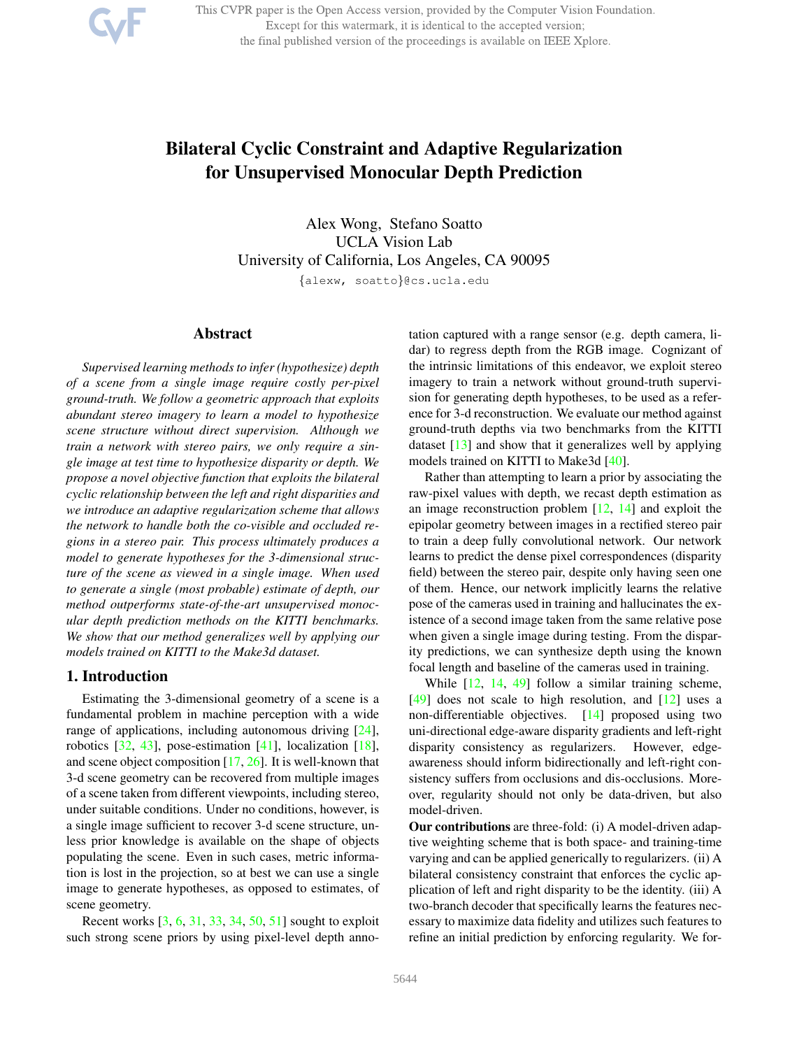This CVPR paper is the Open Access version, provided by the Computer Vision Foundation. Except for this watermark, it is identical to the accepted version; the final published version of the proceedings is available on IEEE Xplore.

# Bilateral Cyclic Constraint and Adaptive Regularization for Unsupervised Monocular Depth Prediction

Alex Wong, Stefano Soatto UCLA Vision Lab University of California, Los Angeles, CA 90095

{alexw, soatto}@cs.ucla.edu

## Abstract

*Supervised learning methods to infer (hypothesize) depth of a scene from a single image require costly per-pixel ground-truth. We follow a geometric approach that exploits abundant stereo imagery to learn a model to hypothesize scene structure without direct supervision. Although we train a network with stereo pairs, we only require a single image at test time to hypothesize disparity or depth. We propose a novel objective function that exploits the bilateral cyclic relationship between the left and right disparities and we introduce an adaptive regularization scheme that allows the network to handle both the co-visible and occluded regions in a stereo pair. This process ultimately produces a model to generate hypotheses for the 3-dimensional structure of the scene as viewed in a single image. When used to generate a single (most probable) estimate of depth, our method outperforms state-of-the-art unsupervised monocular depth prediction methods on the KITTI benchmarks. We show that our method generalizes well by applying our models trained on KITTI to the Make3d dataset.*

## 1. Introduction

Estimating the 3-dimensional geometry of a scene is a fundamental problem in machine perception with a wide range of applications, including autonomous driving [24], robotics [32, 43], pose-estimation [41], localization [18], and scene object composition [17, 26]. It is well-known that 3-d scene geometry can be recovered from multiple images of a scene taken from different viewpoints, including stereo, under suitable conditions. Under no conditions, however, is a single image sufficient to recover 3-d scene structure, unless prior knowledge is available on the shape of objects populating the scene. Even in such cases, metric information is lost in the projection, so at best we can use a single image to generate hypotheses, as opposed to estimates, of scene geometry.

Recent works [3, 6, 31, 33, 34, 50, 51] sought to exploit such strong scene priors by using pixel-level depth annotation captured with a range sensor (e.g. depth camera, lidar) to regress depth from the RGB image. Cognizant of the intrinsic limitations of this endeavor, we exploit stereo imagery to train a network without ground-truth supervision for generating depth hypotheses, to be used as a reference for 3-d reconstruction. We evaluate our method against ground-truth depths via two benchmarks from the KITTI dataset [13] and show that it generalizes well by applying models trained on KITTI to Make3d [40].

Rather than attempting to learn a prior by associating the raw-pixel values with depth, we recast depth estimation as an image reconstruction problem [12, 14] and exploit the epipolar geometry between images in a rectified stereo pair to train a deep fully convolutional network. Our network learns to predict the dense pixel correspondences (disparity field) between the stereo pair, despite only having seen one of them. Hence, our network implicitly learns the relative pose of the cameras used in training and hallucinates the existence of a second image taken from the same relative pose when given a single image during testing. From the disparity predictions, we can synthesize depth using the known focal length and baseline of the cameras used in training.

While  $[12, 14, 49]$  follow a similar training scheme,  $[49]$  does not scale to high resolution, and  $[12]$  uses a non-differentiable objectives. [14] proposed using two uni-directional edge-aware disparity gradients and left-right disparity consistency as regularizers. However, edgeawareness should inform bidirectionally and left-right consistency suffers from occlusions and dis-occlusions. Moreover, regularity should not only be data-driven, but also model-driven.

Our contributions are three-fold: (i) A model-driven adaptive weighting scheme that is both space- and training-time varying and can be applied generically to regularizers. (ii) A bilateral consistency constraint that enforces the cyclic application of left and right disparity to be the identity. (iii) A two-branch decoder that specifically learns the features necessary to maximize data fidelity and utilizes such features to refine an initial prediction by enforcing regularity. We for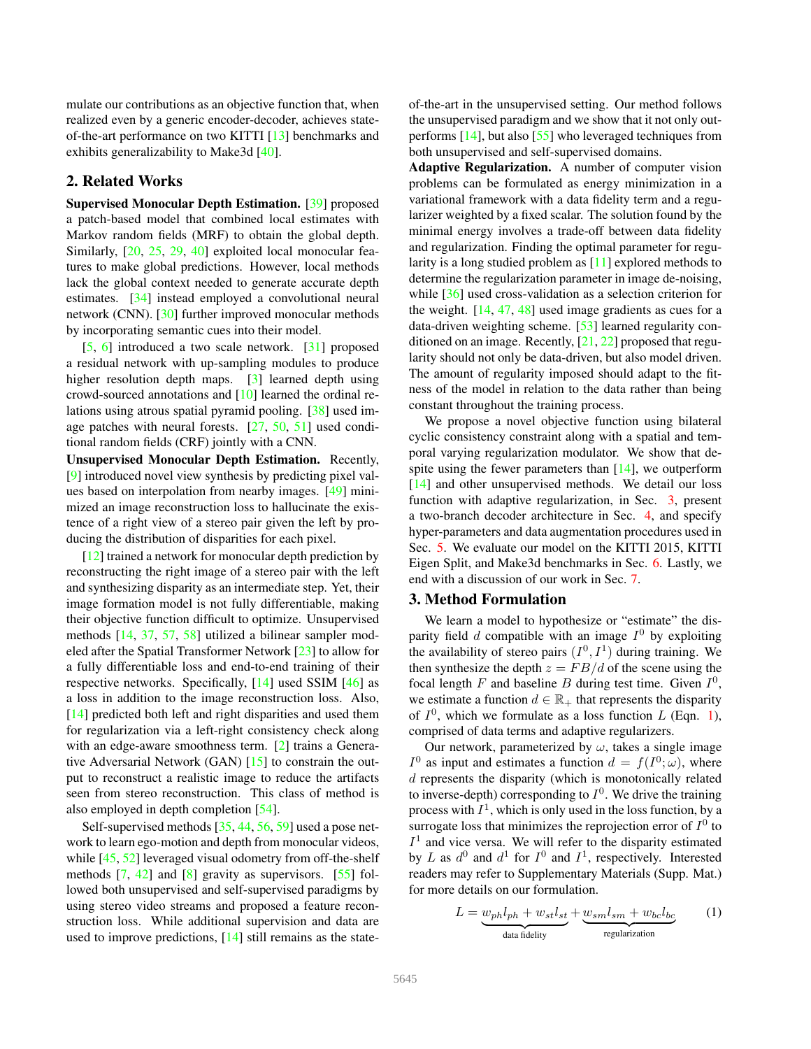mulate our contributions as an objective function that, when realized even by a generic encoder-decoder, achieves stateof-the-art performance on two KITTI [13] benchmarks and exhibits generalizability to Make3d [40].

# 2. Related Works

Supervised Monocular Depth Estimation. [39] proposed a patch-based model that combined local estimates with Markov random fields (MRF) to obtain the global depth. Similarly, [20, 25, 29, 40] exploited local monocular features to make global predictions. However, local methods lack the global context needed to generate accurate depth estimates. [34] instead employed a convolutional neural network (CNN). [30] further improved monocular methods by incorporating semantic cues into their model.

[5, 6] introduced a two scale network. [31] proposed a residual network with up-sampling modules to produce higher resolution depth maps. [3] learned depth using crowd-sourced annotations and [10] learned the ordinal relations using atrous spatial pyramid pooling. [38] used image patches with neural forests. [27, 50, 51] used conditional random fields (CRF) jointly with a CNN.

Unsupervised Monocular Depth Estimation. Recently, [9] introduced novel view synthesis by predicting pixel values based on interpolation from nearby images. [49] minimized an image reconstruction loss to hallucinate the existence of a right view of a stereo pair given the left by producing the distribution of disparities for each pixel.

[12] trained a network for monocular depth prediction by reconstructing the right image of a stereo pair with the left and synthesizing disparity as an intermediate step. Yet, their image formation model is not fully differentiable, making their objective function difficult to optimize. Unsupervised methods [14, 37, 57, 58] utilized a bilinear sampler modeled after the Spatial Transformer Network [23] to allow for a fully differentiable loss and end-to-end training of their respective networks. Specifically, [14] used SSIM [46] as a loss in addition to the image reconstruction loss. Also, [14] predicted both left and right disparities and used them for regularization via a left-right consistency check along with an edge-aware smoothness term. [2] trains a Generative Adversarial Network (GAN) [15] to constrain the output to reconstruct a realistic image to reduce the artifacts seen from stereo reconstruction. This class of method is also employed in depth completion [54].

Self-supervised methods [35, 44, 56, 59] used a pose network to learn ego-motion and depth from monocular videos, while [45, 52] leveraged visual odometry from off-the-shelf methods [7, 42] and [8] gravity as supervisors. [55] followed both unsupervised and self-supervised paradigms by using stereo video streams and proposed a feature reconstruction loss. While additional supervision and data are used to improve predictions, [14] still remains as the stateof-the-art in the unsupervised setting. Our method follows the unsupervised paradigm and we show that it not only outperforms [14], but also [55] who leveraged techniques from both unsupervised and self-supervised domains.

Adaptive Regularization. A number of computer vision problems can be formulated as energy minimization in a variational framework with a data fidelity term and a regularizer weighted by a fixed scalar. The solution found by the minimal energy involves a trade-off between data fidelity and regularization. Finding the optimal parameter for regularity is a long studied problem as [11] explored methods to determine the regularization parameter in image de-noising, while [36] used cross-validation as a selection criterion for the weight.  $[14, 47, 48]$  used image gradients as cues for a data-driven weighting scheme. [53] learned regularity conditioned on an image. Recently, [21, 22] proposed that regularity should not only be data-driven, but also model driven. The amount of regularity imposed should adapt to the fitness of the model in relation to the data rather than being constant throughout the training process.

We propose a novel objective function using bilateral cyclic consistency constraint along with a spatial and temporal varying regularization modulator. We show that despite using the fewer parameters than  $[14]$ , we outperform [14] and other unsupervised methods. We detail our loss function with adaptive regularization, in Sec. 3, present a two-branch decoder architecture in Sec. 4, and specify hyper-parameters and data augmentation procedures used in Sec. 5. We evaluate our model on the KITTI 2015, KITTI Eigen Split, and Make3d benchmarks in Sec. 6. Lastly, we end with a discussion of our work in Sec. 7.

## 3. Method Formulation

We learn a model to hypothesize or "estimate" the disparity field d compatible with an image  $I^0$  by exploiting the availability of stereo pairs  $(I^0, I^1)$  during training. We then synthesize the depth  $z = FB/d$  of the scene using the focal length  $F$  and baseline  $B$  during test time. Given  $I^0$ , we estimate a function  $d \in \mathbb{R}_+$  that represents the disparity of  $I^0$ , which we formulate as a loss function L (Eqn. 1), comprised of data terms and adaptive regularizers.

Our network, parameterized by  $\omega$ , takes a single image  $I^0$  as input and estimates a function  $d = f(I^0; \omega)$ , where d represents the disparity (which is monotonically related to inverse-depth) corresponding to  $I^0$ . We drive the training process with  $I^1$ , which is only used in the loss function, by a surrogate loss that minimizes the reprojection error of  $I^0$  to  $I<sup>1</sup>$  and vice versa. We will refer to the disparity estimated by L as  $d^0$  and  $d^1$  for  $I^0$  and  $I^1$ , respectively. Interested readers may refer to Supplementary Materials (Supp. Mat.) for more details on our formulation.

$$
L = \underbrace{w_{ph}l_{ph} + w_{st}l_{st}}_{\text{data fidelity}} + \underbrace{w_{sm}l_{sm} + w_{bc}l_{bc}}_{\text{regularization}}
$$
 (1)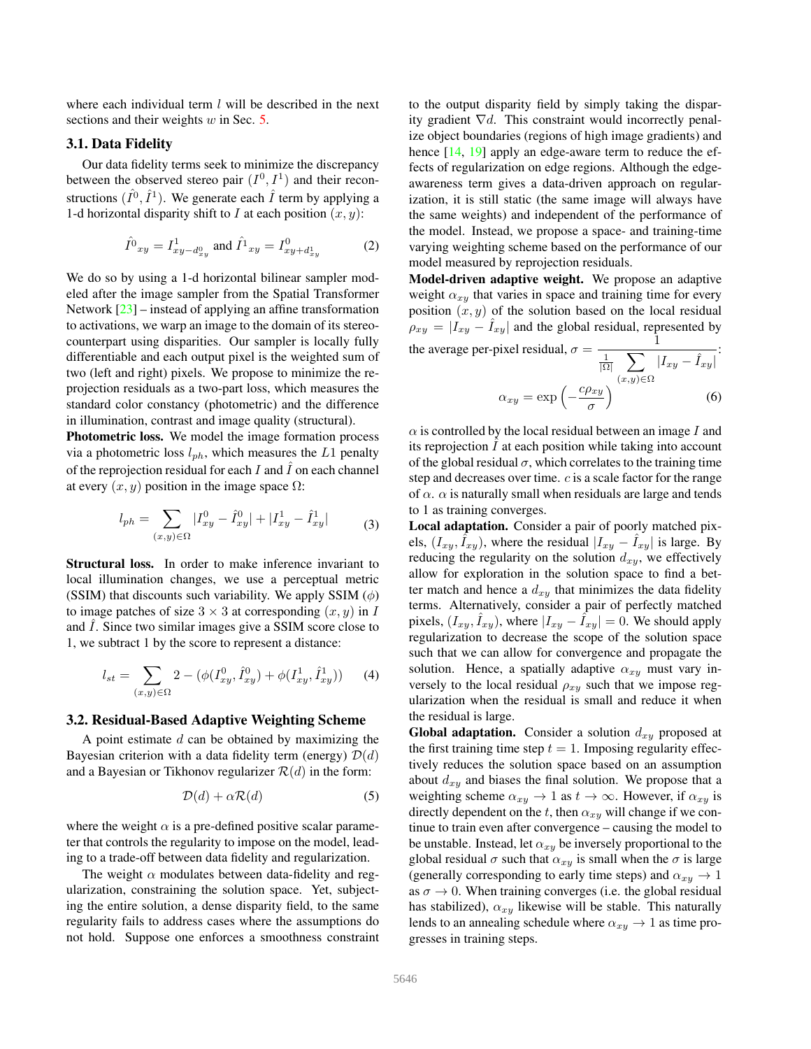where each individual term  $l$  will be described in the next sections and their weights  $w$  in Sec.  $5$ .

## 3.1. Data Fidelity

Our data fidelity terms seek to minimize the discrepancy between the observed stereo pair  $(I^0, I^1)$  and their reconstructions  $(\hat{I}^0, \hat{I}^1)$ . We generate each  $\hat{I}$  term by applying a 1-d horizontal disparity shift to I at each position  $(x, y)$ :

$$
\hat{I}^0{}_{xy} = I^1_{xy-d^0_{xy}} \text{ and } \hat{I}^1{}_{xy} = I^0_{xy+d^1_{xy}} \tag{2}
$$

We do so by using a 1-d horizontal bilinear sampler modeled after the image sampler from the Spatial Transformer Network [23] – instead of applying an affine transformation to activations, we warp an image to the domain of its stereocounterpart using disparities. Our sampler is locally fully differentiable and each output pixel is the weighted sum of two (left and right) pixels. We propose to minimize the reprojection residuals as a two-part loss, which measures the standard color constancy (photometric) and the difference in illumination, contrast and image quality (structural).

Photometric loss. We model the image formation process via a photometric loss  $l_{ph}$ , which measures the L1 penalty of the reprojection residual for each  $I$  and  $I$  on each channel at every  $(x, y)$  position in the image space  $\Omega$ :

$$
l_{ph} = \sum_{(x,y)\in\Omega} |I_{xy}^0 - \hat{I}_{xy}^0| + |I_{xy}^1 - \hat{I}_{xy}^1|
$$
 (3)

Structural loss. In order to make inference invariant to local illumination changes, we use a perceptual metric (SSIM) that discounts such variability. We apply SSIM  $(\phi)$ to image patches of size  $3 \times 3$  at corresponding  $(x, y)$  in I and  $I$ . Since two similar images give a SSIM score close to 1, we subtract 1 by the score to represent a distance:

$$
l_{st} = \sum_{(x,y)\in\Omega} 2 - (\phi(I_{xy}^0, \hat{I}_{xy}^0) + \phi(I_{xy}^1, \hat{I}_{xy}^1))
$$
 (4)

## 3.2. Residual-Based Adaptive Weighting Scheme

A point estimate d can be obtained by maximizing the Bayesian criterion with a data fidelity term (energy)  $\mathcal{D}(d)$ and a Bayesian or Tikhonov regularizer  $\mathcal{R}(d)$  in the form:

$$
\mathcal{D}(d) + \alpha \mathcal{R}(d) \tag{5}
$$

where the weight  $\alpha$  is a pre-defined positive scalar parameter that controls the regularity to impose on the model, leading to a trade-off between data fidelity and regularization.

The weight  $\alpha$  modulates between data-fidelity and regularization, constraining the solution space. Yet, subjecting the entire solution, a dense disparity field, to the same regularity fails to address cases where the assumptions do not hold. Suppose one enforces a smoothness constraint to the output disparity field by simply taking the disparity gradient  $\nabla d$ . This constraint would incorrectly penalize object boundaries (regions of high image gradients) and hence [14, 19] apply an edge-aware term to reduce the effects of regularization on edge regions. Although the edgeawareness term gives a data-driven approach on regularization, it is still static (the same image will always have the same weights) and independent of the performance of the model. Instead, we propose a space- and training-time varying weighting scheme based on the performance of our model measured by reprojection residuals.

Model-driven adaptive weight. We propose an adaptive weight  $\alpha_{xy}$  that varies in space and training time for every position  $(x, y)$  of the solution based on the local residual  $\rho_{xy} = |I_{xy} - I_{xy}|$  and the global residual, represented by the average per-pixel residual,  $\sigma = \frac{1}{1 - \sqrt{2}}$  $\frac{1}{|\Omega|}\sum_{l}|I_{xy}-\hat{I}_{xy}|^2$  $(x,y) \in \Omega$ 

$$
\alpha_{xy} = \exp\left(-\frac{c\rho_{xy}}{\sigma}\right)^{(x,y)\in\Omega} \tag{6}
$$

 $\alpha$  is controlled by the local residual between an image I and its reprojection  $I$  at each position while taking into account of the global residual  $\sigma$ , which correlates to the training time step and decreases over time. c is a scale factor for the range of  $\alpha$ .  $\alpha$  is naturally small when residuals are large and tends to 1 as training converges.

Local adaptation. Consider a pair of poorly matched pixels,  $(I_{xy}, \tilde{I}_{xy})$ , where the residual  $|I_{xy} - \tilde{I}_{xy}|$  is large. By reducing the regularity on the solution  $d_{xy}$ , we effectively allow for exploration in the solution space to find a better match and hence a  $d_{xy}$  that minimizes the data fidelity terms. Alternatively, consider a pair of perfectly matched pixels,  $(I_{xy}, \hat{I}_{xy})$ , where  $|I_{xy} - \hat{I}_{xy}| = 0$ . We should apply regularization to decrease the scope of the solution space such that we can allow for convergence and propagate the solution. Hence, a spatially adaptive  $\alpha_{xy}$  must vary inversely to the local residual  $\rho_{xy}$  such that we impose regularization when the residual is small and reduce it when the residual is large.

**Global adaptation.** Consider a solution  $d_{xy}$  proposed at the first training time step  $t = 1$ . Imposing regularity effectively reduces the solution space based on an assumption about  $d_{xy}$  and biases the final solution. We propose that a weighting scheme  $\alpha_{xy} \rightarrow 1$  as  $t \rightarrow \infty$ . However, if  $\alpha_{xy}$  is directly dependent on the t, then  $\alpha_{xy}$  will change if we continue to train even after convergence – causing the model to be unstable. Instead, let  $\alpha_{xy}$  be inversely proportional to the global residual  $\sigma$  such that  $\alpha_{xy}$  is small when the  $\sigma$  is large (generally corresponding to early time steps) and  $\alpha_{x} \to 1$ as  $\sigma \to 0$ . When training converges (i.e. the global residual has stabilized),  $\alpha_{xy}$  likewise will be stable. This naturally lends to an annealing schedule where  $\alpha_{xy} \rightarrow 1$  as time progresses in training steps.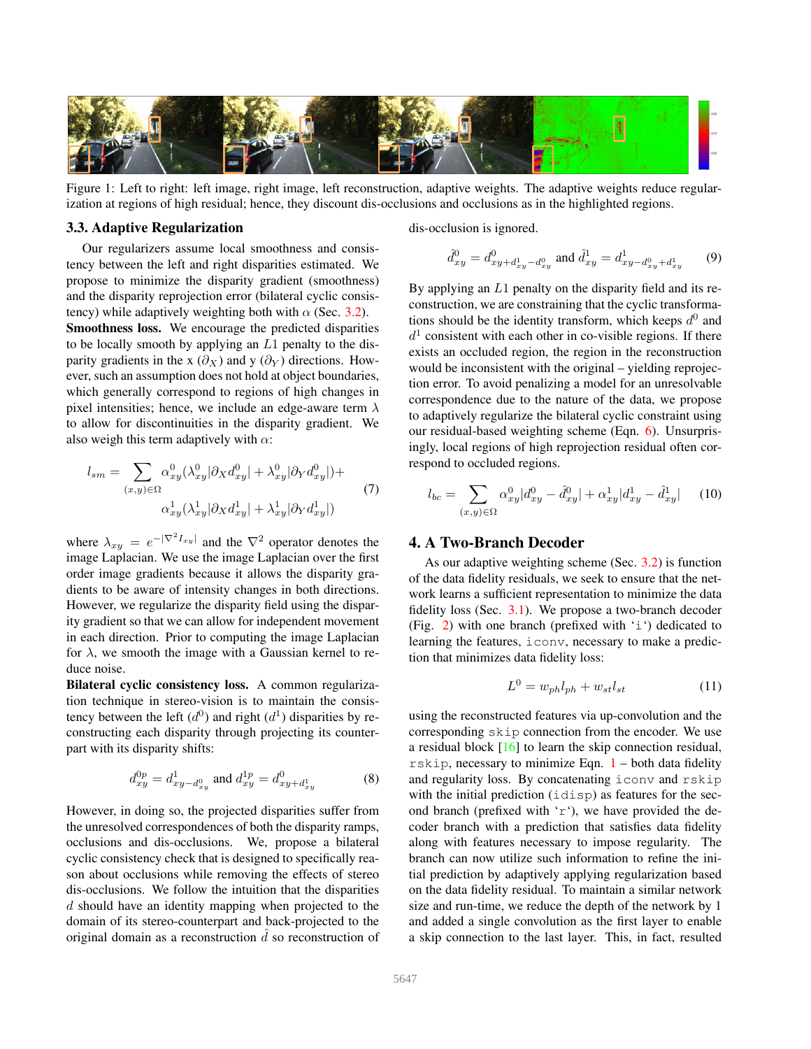

Figure 1: Left to right: left image, right image, left reconstruction, adaptive weights. The adaptive weights reduce regularization at regions of high residual; hence, they discount dis-occlusions and occlusions as in the highlighted regions.

#### 3.3. Adaptive Regularization

Our regularizers assume local smoothness and consistency between the left and right disparities estimated. We propose to minimize the disparity gradient (smoothness) and the disparity reprojection error (bilateral cyclic consistency) while adaptively weighting both with  $\alpha$  (Sec. 3.2). Smoothness loss. We encourage the predicted disparities to be locally smooth by applying an L1 penalty to the disparity gradients in the x  $(\partial_X)$  and y  $(\partial_Y)$  directions. However, such an assumption does not hold at object boundaries, which generally correspond to regions of high changes in pixel intensities; hence, we include an edge-aware term  $\lambda$ to allow for discontinuities in the disparity gradient. We also weigh this term adaptively with  $\alpha$ :

$$
l_{sm} = \sum_{(x,y)\in\Omega} \alpha_{xy}^0(\lambda_{xy}^0|\partial_X d_{xy}^0| + \lambda_{xy}^0|\partial_Y d_{xy}^0|) +
$$
  

$$
\alpha_{xy}^1(\lambda_{xy}^1|\partial_X d_{xy}^1| + \lambda_{xy}^1|\partial_Y d_{xy}^1|)
$$
 (7)

where  $\lambda_{xy} = e^{-|\nabla^2 I_{xy}|}$  and the  $\nabla^2$  operator denotes the image Laplacian. We use the image Laplacian over the first order image gradients because it allows the disparity gradients to be aware of intensity changes in both directions. However, we regularize the disparity field using the disparity gradient so that we can allow for independent movement in each direction. Prior to computing the image Laplacian for  $\lambda$ , we smooth the image with a Gaussian kernel to reduce noise.

Bilateral cyclic consistency loss. A common regularization technique in stereo-vision is to maintain the consistency between the left  $(d^0)$  and right  $(d^1)$  disparities by reconstructing each disparity through projecting its counterpart with its disparity shifts:

$$
d_{xy}^{0p} = d_{xy-d_{xy}^0}^1 \text{ and } d_{xy}^{1p} = d_{xy+d_{xy}^1}^0 \tag{8}
$$

However, in doing so, the projected disparities suffer from the unresolved correspondences of both the disparity ramps, occlusions and dis-occlusions. We, propose a bilateral cyclic consistency check that is designed to specifically reason about occlusions while removing the effects of stereo dis-occlusions. We follow the intuition that the disparities d should have an identity mapping when projected to the domain of its stereo-counterpart and back-projected to the original domain as a reconstruction  $\overline{d}$  so reconstruction of dis-occlusion is ignored.

$$
\hat{d}_{xy}^0 = d_{xy+d_{xy}^1 - d_{xy}^0}^0 \text{ and } \hat{d}_{xy}^1 = d_{xy-d_{xy}^0 + d_{xy}^1}^1 \tag{9}
$$

By applying an L1 penalty on the disparity field and its reconstruction, we are constraining that the cyclic transformations should be the identity transform, which keeps  $d^0$  and  $d<sup>1</sup>$  consistent with each other in co-visible regions. If there exists an occluded region, the region in the reconstruction would be inconsistent with the original – yielding reprojection error. To avoid penalizing a model for an unresolvable correspondence due to the nature of the data, we propose to adaptively regularize the bilateral cyclic constraint using our residual-based weighting scheme (Eqn. 6). Unsurprisingly, local regions of high reprojection residual often correspond to occluded regions.

$$
l_{bc} = \sum_{(x,y)\in\Omega} \alpha_{xy}^0 |d_{xy}^0 - \hat{d}_{xy}^0| + \alpha_{xy}^1 |d_{xy}^1 - \hat{d}_{xy}^1| \qquad (10)
$$

# 4. A Two-Branch Decoder

As our adaptive weighting scheme (Sec. 3.2) is function of the data fidelity residuals, we seek to ensure that the network learns a sufficient representation to minimize the data fidelity loss (Sec. 3.1). We propose a two-branch decoder (Fig. 2) with one branch (prefixed with 'i') dedicated to learning the features, iconv, necessary to make a prediction that minimizes data fidelity loss:

$$
L^0 = w_{ph} l_{ph} + w_{st} l_{st} \tag{11}
$$

using the reconstructed features via up-convolution and the corresponding skip connection from the encoder. We use a residual block [16] to learn the skip connection residual, rskip, necessary to minimize Eqn. 1 – both data fidelity and regularity loss. By concatenating iconv and rskip with the initial prediction (idisp) as features for the second branch (prefixed with 'r'), we have provided the decoder branch with a prediction that satisfies data fidelity along with features necessary to impose regularity. The branch can now utilize such information to refine the initial prediction by adaptively applying regularization based on the data fidelity residual. To maintain a similar network size and run-time, we reduce the depth of the network by 1 and added a single convolution as the first layer to enable a skip connection to the last layer. This, in fact, resulted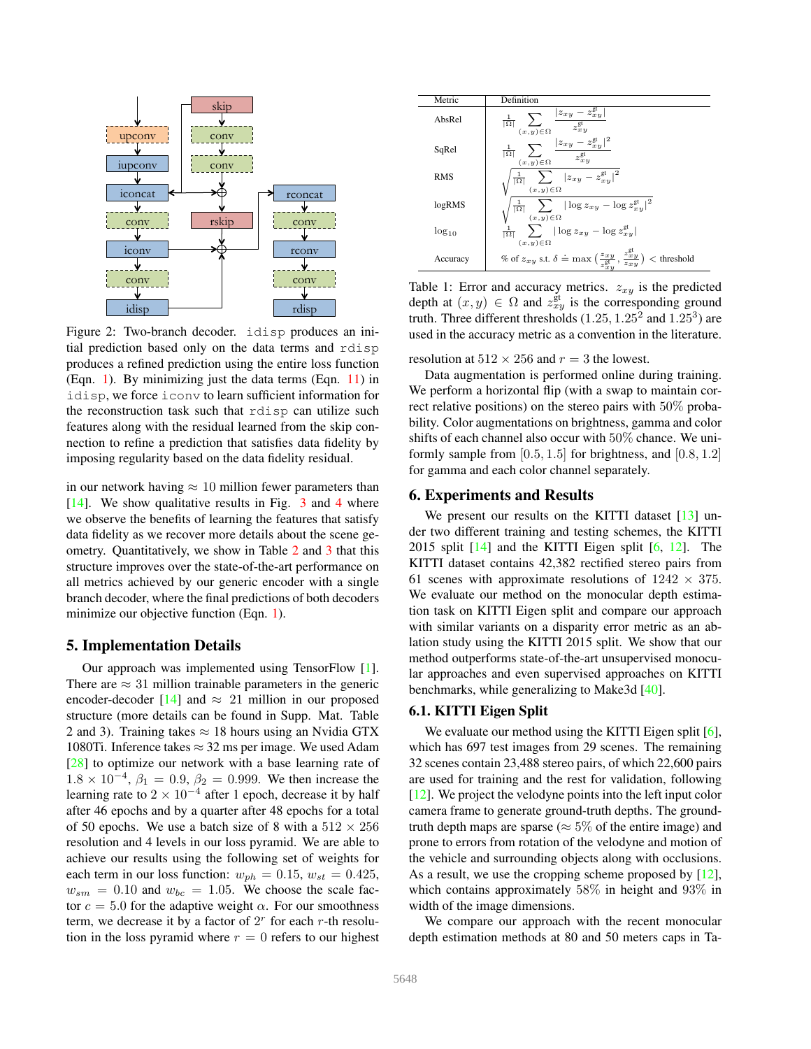

Figure 2: Two-branch decoder. idisp produces an initial prediction based only on the data terms and rdisp produces a refined prediction using the entire loss function (Eqn. 1). By minimizing just the data terms (Eqn. 11) in idisp, we force iconv to learn sufficient information for the reconstruction task such that rdisp can utilize such features along with the residual learned from the skip connection to refine a prediction that satisfies data fidelity by imposing regularity based on the data fidelity residual.

in our network having  $\approx 10$  million fewer parameters than [14]. We show qualitative results in Fig. 3 and 4 where we observe the benefits of learning the features that satisfy data fidelity as we recover more details about the scene geometry. Quantitatively, we show in Table 2 and 3 that this structure improves over the state-of-the-art performance on all metrics achieved by our generic encoder with a single branch decoder, where the final predictions of both decoders minimize our objective function (Eqn. 1).

## 5. Implementation Details

Our approach was implemented using TensorFlow [1]. There are  $\approx 31$  million trainable parameters in the generic encoder-decoder [14] and  $\approx$  21 million in our proposed structure (more details can be found in Supp. Mat. Table 2 and 3). Training takes  $\approx$  18 hours using an Nvidia GTX 1080Ti. Inference takes  $\approx$  32 ms per image. We used Adam [28] to optimize our network with a base learning rate of  $1.8 \times 10^{-4}$ ,  $\beta_1 = 0.9$ ,  $\beta_2 = 0.999$ . We then increase the learning rate to  $2 \times 10^{-4}$  after 1 epoch, decrease it by half after 46 epochs and by a quarter after 48 epochs for a total of 50 epochs. We use a batch size of 8 with a  $512 \times 256$ resolution and 4 levels in our loss pyramid. We are able to achieve our results using the following set of weights for each term in our loss function:  $w_{ph} = 0.15$ ,  $w_{st} = 0.425$ ,  $w_{sm} = 0.10$  and  $w_{bc} = 1.05$ . We choose the scale factor  $c = 5.0$  for the adaptive weight  $\alpha$ . For our smoothness term, we decrease it by a factor of  $2<sup>r</sup>$  for each r-th resolution in the loss pyramid where  $r = 0$  refers to our highest

| Metric     | Definition                                                                                                                                        |
|------------|---------------------------------------------------------------------------------------------------------------------------------------------------|
| AbsRel     | $ z_{xy} - z_{xy}^{\text{gt}} $<br>$\frac{1}{ \Omega }$<br>$z_{x}^{\text{gt}}$<br>$(x,y) \in \Omega$                                              |
| SqRel      | $ z_{xy}-z_{xy}^{\rm gt} ^2$<br>$\frac{1}{ \Omega }$ $\sum$<br>$z_{xy}^{\text{gt}}$<br>$(x,y) \in \Omega$                                         |
| <b>RMS</b> | $\label{eq:1} \frac{1}{ \Omega }\sum_{(x,y)\in\Omega}\left z_{xy}-z_{xy}^{\text{gt}}\right ^2$                                                    |
| logRMS     | $\frac{1}{ \Omega }$ $\sum$ $ \log z_{xy} - \log z_{xy}^{\text{gt}} ^2$<br>$(x,y) \in \Omega$                                                     |
| $log_{10}$ | $\sum$   $\log z_{xy} - \log z_{xy}^{\text{gt}}$  <br>$\frac{1}{\vert \Omega \vert}$<br>$(x,y) \in \Omega$                                        |
| Accuracy   | % of $z_{xy}$ s.t. $\delta \doteq \max\big(\frac{z_{xy}}{z_{xy}^{\text{gt}}},\frac{z_{xy}^{\text{gt}}}{z_{xy}^{\text{gt}}}\big)$<br>$<$ threshold |

Table 1: Error and accuracy metrics.  $z_{xy}$  is the predicted depth at  $(x, y) \in \Omega$  and  $z_{xy}^{\text{gt}}$  is the corresponding ground truth. Three different thresholds  $(1.25, 1.25^2 \text{ and } 1.25^3)$  are used in the accuracy metric as a convention in the literature.

resolution at  $512 \times 256$  and  $r = 3$  the lowest.

Data augmentation is performed online during training. We perform a horizontal flip (with a swap to maintain correct relative positions) on the stereo pairs with 50% probability. Color augmentations on brightness, gamma and color shifts of each channel also occur with 50% chance. We uniformly sample from  $[0.5, 1.5]$  for brightness, and  $[0.8, 1.2]$ for gamma and each color channel separately.

#### 6. Experiments and Results

We present our results on the KITTI dataset  $[13]$  under two different training and testing schemes, the KITTI 2015 split  $[14]$  and the KITTI Eigen split  $[6, 12]$ . The KITTI dataset contains 42,382 rectified stereo pairs from 61 scenes with approximate resolutions of  $1242 \times 375$ . We evaluate our method on the monocular depth estimation task on KITTI Eigen split and compare our approach with similar variants on a disparity error metric as an ablation study using the KITTI 2015 split. We show that our method outperforms state-of-the-art unsupervised monocular approaches and even supervised approaches on KITTI benchmarks, while generalizing to Make3d [40].

#### 6.1. KITTI Eigen Split

We evaluate our method using the KITTI Eigen split [6], which has  $697$  test images from 29 scenes. The remaining 32 scenes contain 23,488 stereo pairs, of which 22,600 pairs are used for training and the rest for validation, following [12]. We project the velodyne points into the left input color camera frame to generate ground-truth depths. The groundtruth depth maps are sparse ( $\approx 5\%$  of the entire image) and prone to errors from rotation of the velodyne and motion of the vehicle and surrounding objects along with occlusions. As a result, we use the cropping scheme proposed by [12], which contains approximately 58% in height and 93% in width of the image dimensions.

We compare our approach with the recent monocular depth estimation methods at 80 and 50 meters caps in Ta-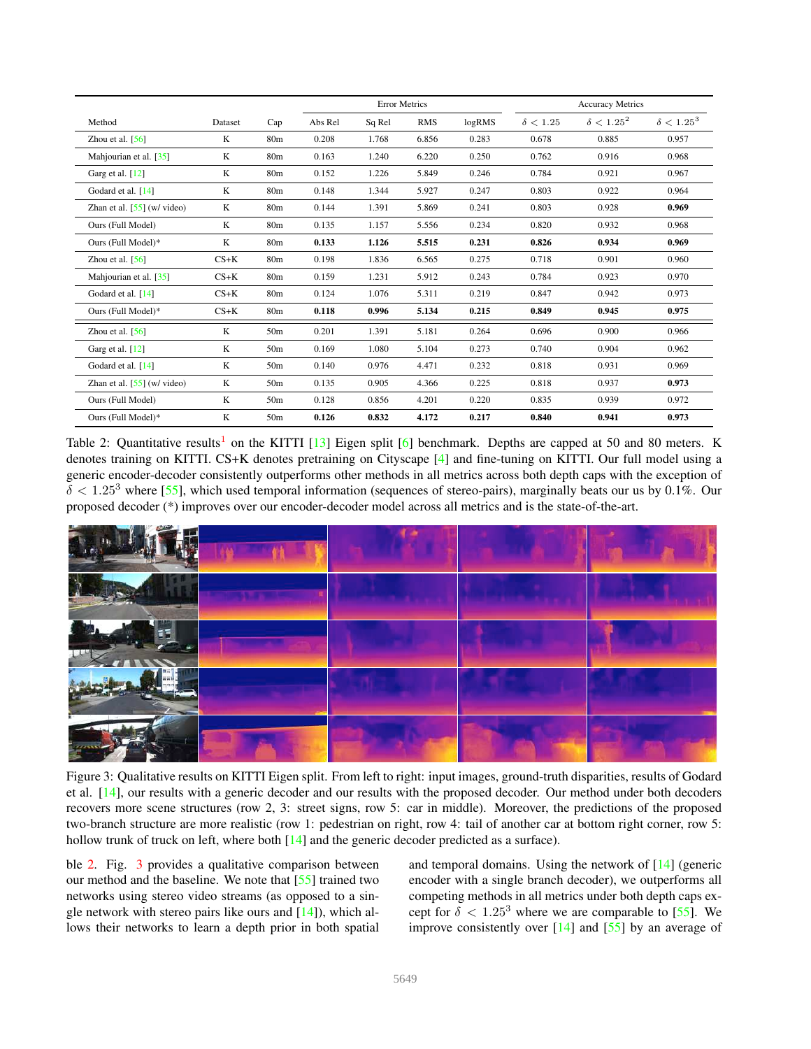|                               |         |                 | <b>Error Metrics</b> |        |            |        | <b>Accuracy Metrics</b> |                   |                   |
|-------------------------------|---------|-----------------|----------------------|--------|------------|--------|-------------------------|-------------------|-------------------|
| Method                        | Dataset | Cap             | Abs Rel              | Sq Rel | <b>RMS</b> | logRMS | $\delta < 1.25$         | $\delta < 1.25^2$ | $\delta < 1.25^3$ |
| Zhou et al. $[56]$            | K       | 80 <sub>m</sub> | 0.208                | 1.768  | 6.856      | 0.283  | 0.678                   | 0.885             | 0.957             |
| Mahjourian et al. [35]        | K       | 80 <sub>m</sub> | 0.163                | 1.240  | 6.220      | 0.250  | 0.762                   | 0.916             | 0.968             |
| Garg et al. [12]              | K       | 80 <sub>m</sub> | 0.152                | 1.226  | 5.849      | 0.246  | 0.784                   | 0.921             | 0.967             |
| Godard et al. [14]            | K       | 80 <sub>m</sub> | 0.148                | 1.344  | 5.927      | 0.247  | 0.803                   | 0.922             | 0.964             |
| Zhan et al. $[55]$ (w/ video) | K       | 80 <sub>m</sub> | 0.144                | 1.391  | 5.869      | 0.241  | 0.803                   | 0.928             | 0.969             |
| Ours (Full Model)             | K       | 80 <sub>m</sub> | 0.135                | 1.157  | 5.556      | 0.234  | 0.820                   | 0.932             | 0.968             |
| Ours (Full Model)*            | K       | 80 <sub>m</sub> | 0.133                | 1.126  | 5.515      | 0.231  | 0.826                   | 0.934             | 0.969             |
| Zhou et al. $[56]$            | $CS+K$  | 80 <sub>m</sub> | 0.198                | 1.836  | 6.565      | 0.275  | 0.718                   | 0.901             | 0.960             |
| Mahjourian et al. [35]        | $CS+K$  | 80 <sub>m</sub> | 0.159                | 1.231  | 5.912      | 0.243  | 0.784                   | 0.923             | 0.970             |
| Godard et al. [14]            | $CS+K$  | 80 <sub>m</sub> | 0.124                | 1.076  | 5.311      | 0.219  | 0.847                   | 0.942             | 0.973             |
| Ours (Full Model)*            | $CS+K$  | 80 <sub>m</sub> | 0.118                | 0.996  | 5.134      | 0.215  | 0.849                   | 0.945             | 0.975             |
| Zhou et al. $[56]$            | K       | 50 <sub>m</sub> | 0.201                | 1.391  | 5.181      | 0.264  | 0.696                   | 0.900             | 0.966             |
| Garg et al. [12]              | K       | 50 <sub>m</sub> | 0.169                | 1.080  | 5.104      | 0.273  | 0.740                   | 0.904             | 0.962             |
| Godard et al. [14]            | K       | 50 <sub>m</sub> | 0.140                | 0.976  | 4.471      | 0.232  | 0.818                   | 0.931             | 0.969             |
| Zhan et al. $[55]$ (w/ video) | K       | 50 <sub>m</sub> | 0.135                | 0.905  | 4.366      | 0.225  | 0.818                   | 0.937             | 0.973             |
| Ours (Full Model)             | K       | 50 <sub>m</sub> | 0.128                | 0.856  | 4.201      | 0.220  | 0.835                   | 0.939             | 0.972             |
| Ours (Full Model)*            | K       | 50 <sub>m</sub> | 0.126                | 0.832  | 4.172      | 0.217  | 0.840                   | 0.941             | 0.973             |

Table 2: Quantitative results<sup>1</sup> on the KITTI [13] Eigen split [6] benchmark. Depths are capped at 50 and 80 meters. K denotes training on KITTI. CS+K denotes pretraining on Cityscape [4] and fine-tuning on KITTI. Our full model using a generic encoder-decoder consistently outperforms other methods in all metrics across both depth caps with the exception of  $\delta$  < 1.25<sup>3</sup> where [55], which used temporal information (sequences of stereo-pairs), marginally beats our us by 0.1%. Our proposed decoder (\*) improves over our encoder-decoder model across all metrics and is the state-of-the-art.



Figure 3: Qualitative results on KITTI Eigen split. From left to right: input images, ground-truth disparities, results of Godard et al. [14], our results with a generic decoder and our results with the proposed decoder. Our method under both decoders recovers more scene structures (row 2, 3: street signs, row 5: car in middle). Moreover, the predictions of the proposed two-branch structure are more realistic (row 1: pedestrian on right, row 4: tail of another car at bottom right corner, row 5: hollow trunk of truck on left, where both [14] and the generic decoder predicted as a surface).

ble 2. Fig. 3 provides a qualitative comparison between our method and the baseline. We note that [55] trained two networks using stereo video streams (as opposed to a single network with stereo pairs like ours and  $[14]$ ), which allows their networks to learn a depth prior in both spatial and temporal domains. Using the network of [14] (generic encoder with a single branch decoder), we outperforms all competing methods in all metrics under both depth caps except for  $\delta < 1.25^3$  where we are comparable to [55]. We improve consistently over  $[14]$  and  $[55]$  by an average of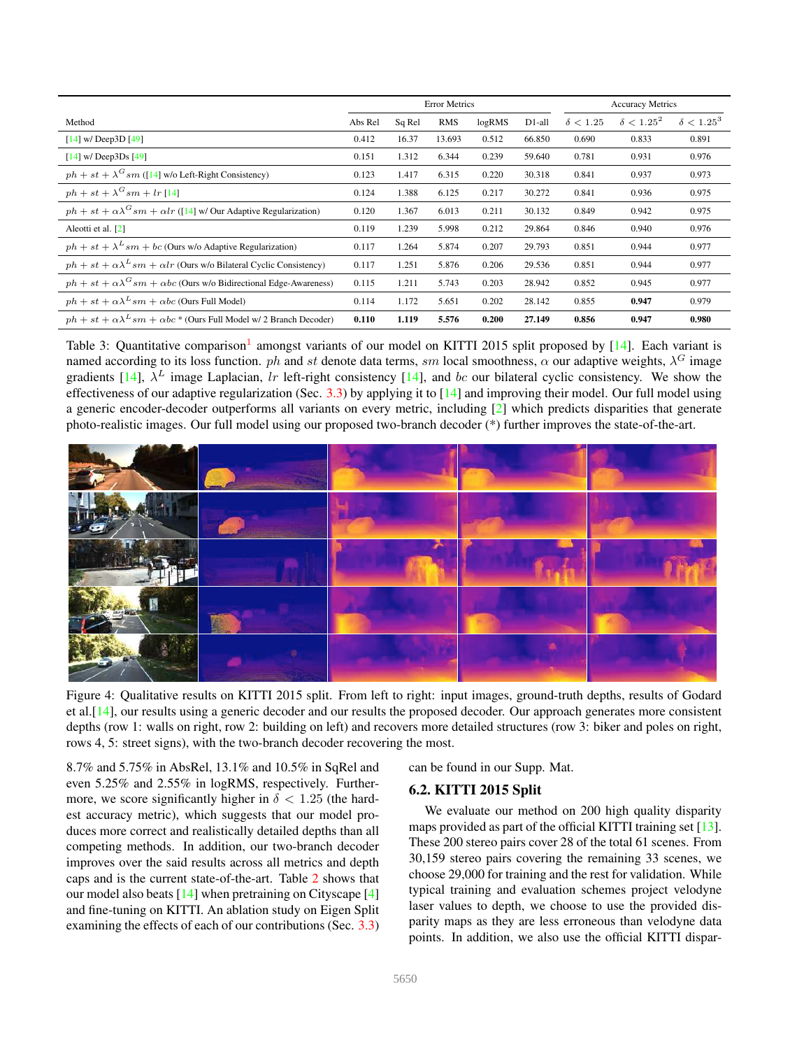|                                                                                       | <b>Error Metrics</b> |        |            |        | <b>Accuracy Metrics</b> |                 |                   |                   |
|---------------------------------------------------------------------------------------|----------------------|--------|------------|--------|-------------------------|-----------------|-------------------|-------------------|
| Method                                                                                | Abs Rel              | Sq Rel | <b>RMS</b> | logRMS | D1-all                  | $\delta < 1.25$ | $\delta < 1.25^2$ | $\delta < 1.25^3$ |
| $[14]$ w/ Deep3D $[49]$                                                               | 0.412                | 16.37  | 13.693     | 0.512  | 66.850                  | 0.690           | 0.833             | 0.891             |
| $[14]$ w/ Deep3Ds $[49]$                                                              | 0.151                | 1.312  | 6.344      | 0.239  | 59.640                  | 0.781           | 0.931             | 0.976             |
| $ph + st + \lambda$ <sup>G</sup> sm ([14] w/o Left-Right Consistency)                 | 0.123                | 1.417  | 6.315      | 0.220  | 30.318                  | 0.841           | 0.937             | 0.973             |
| $ph + st + \lambda$ <sup>G</sup> sm + lr [14]                                         | 0.124                | 1.388  | 6.125      | 0.217  | 30.272                  | 0.841           | 0.936             | 0.975             |
| $ph + st + \alpha \lambda^{G} sm + \alpha lr$ ([14] w/ Our Adaptive Regularization)   | 0.120                | 1.367  | 6.013      | 0.211  | 30.132                  | 0.849           | 0.942             | 0.975             |
| Aleotti et al. [2]                                                                    | 0.119                | 1.239  | 5.998      | 0.212  | 29.864                  | 0.846           | 0.940             | 0.976             |
| $ph + st + \lambda^L sm + bc$ (Ours w/o Adaptive Regularization)                      | 0.117                | 1.264  | 5.874      | 0.207  | 29.793                  | 0.851           | 0.944             | 0.977             |
| $ph + st + \alpha \lambda^L sm + \alpha lr$ (Ours w/o Bilateral Cyclic Consistency)   | 0.117                | 1.251  | 5.876      | 0.206  | 29.536                  | 0.851           | 0.944             | 0.977             |
| $ph + st + \alpha \lambda^{G} sm + \alpha bc$ (Ours w/o Bidirectional Edge-Awareness) | 0.115                | 1.211  | 5.743      | 0.203  | 28.942                  | 0.852           | 0.945             | 0.977             |
| $ph + st + \alpha \lambda^L sm + \alpha bc$ (Ours Full Model)                         | 0.114                | 1.172  | 5.651      | 0.202  | 28.142                  | 0.855           | 0.947             | 0.979             |
| $ph + st + \alpha \lambda^L sm + \alpha bc$ * (Ours Full Model w/ 2 Branch Decoder)   | 0.110                | 1.119  | 5.576      | 0.200  | 27.149                  | 0.856           | 0.947             | 0.980             |

Table 3: Quantitative comparison<sup>1</sup> amongst variants of our model on KITTI 2015 split proposed by [14]. Each variant is named according to its loss function. *ph* and st denote data terms, sm local smoothness,  $\alpha$  our adaptive weights,  $\lambda^G$  image gradients [14],  $\lambda^L$  image Laplacian, lr left-right consistency [14], and bc our bilateral cyclic consistency. We show the effectiveness of our adaptive regularization (Sec.  $3.3$ ) by applying it to  $[14]$  and improving their model. Our full model using a generic encoder-decoder outperforms all variants on every metric, including [2] which predicts disparities that generate photo-realistic images. Our full model using our proposed two-branch decoder (\*) further improves the state-of-the-art.



Figure 4: Qualitative results on KITTI 2015 split. From left to right: input images, ground-truth depths, results of Godard et al.[14], our results using a generic decoder and our results the proposed decoder. Our approach generates more consistent depths (row 1: walls on right, row 2: building on left) and recovers more detailed structures (row 3: biker and poles on right, rows 4, 5: street signs), with the two-branch decoder recovering the most.

8.7% and 5.75% in AbsRel, 13.1% and 10.5% in SqRel and even 5.25% and 2.55% in logRMS, respectively. Furthermore, we score significantly higher in  $\delta$  < 1.25 (the hardest accuracy metric), which suggests that our model produces more correct and realistically detailed depths than all competing methods. In addition, our two-branch decoder improves over the said results across all metrics and depth caps and is the current state-of-the-art. Table 2 shows that our model also beats [14] when pretraining on Cityscape [4] and fine-tuning on KITTI. An ablation study on Eigen Split examining the effects of each of our contributions (Sec. 3.3) can be found in our Supp. Mat.

## 6.2. KITTI 2015 Split

We evaluate our method on 200 high quality disparity maps provided as part of the official KITTI training set [13]. These 200 stereo pairs cover 28 of the total 61 scenes. From 30,159 stereo pairs covering the remaining 33 scenes, we choose 29,000 for training and the rest for validation. While typical training and evaluation schemes project velodyne laser values to depth, we choose to use the provided disparity maps as they are less erroneous than velodyne data points. In addition, we also use the official KITTI dispar-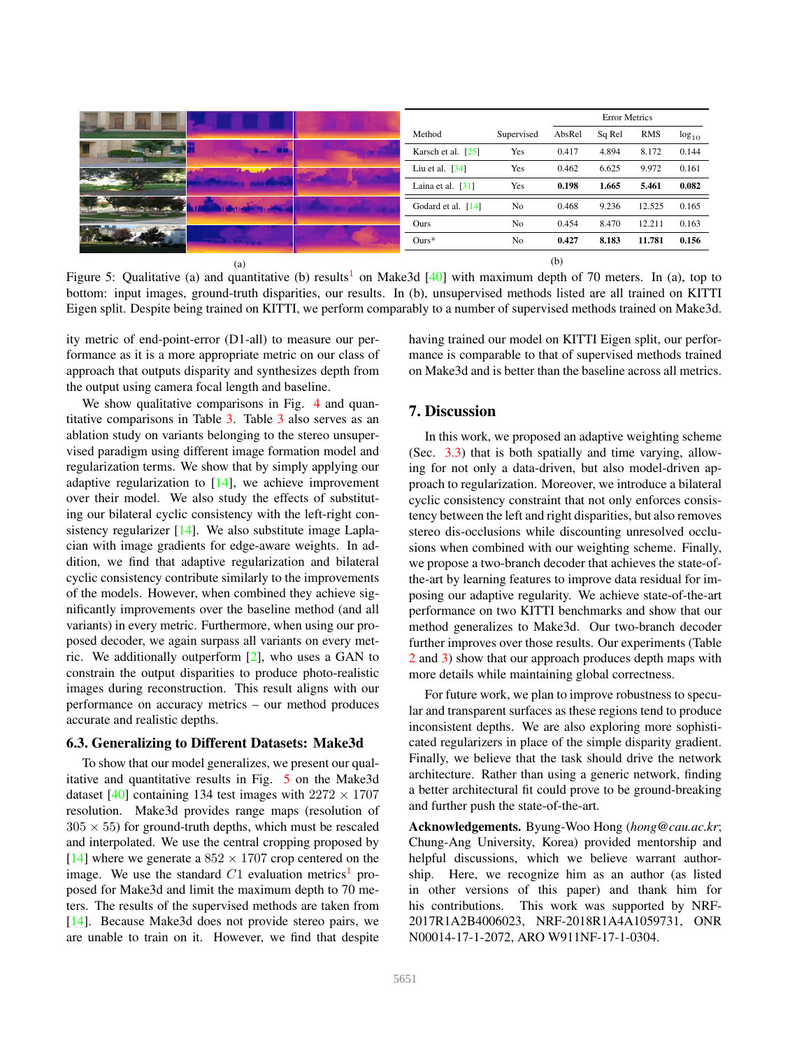|                                        |  |                    |                | <b>Error Metrics</b> |        |            |            |
|----------------------------------------|--|--------------------|----------------|----------------------|--------|------------|------------|
|                                        |  | Method             | Supervised     | AbsRel               | Sq Rel | <b>RMS</b> | $log_{10}$ |
| $x = -x$                               |  | Karsch et al. [25] | Yes            | 0.417                | 4.894  | 8.172      | 0.144      |
| <b><i><u>Charles and Allis</u></i></b> |  | Liu et al. $[34]$  | Yes            | 0.462                | 6.625  | 9.972      | 0.161      |
|                                        |  | Laina et al. [31]  | Yes            | 0.198                | 1.665  | 5.461      | 0.082      |
|                                        |  | Godard et al. [14] | No             | 0.468                | 9.236  | 12.525     | 0.165      |
|                                        |  | Ours               | N <sub>o</sub> | 0.454                | 8.470  | 12.211     | 0.163      |
|                                        |  | $Ours*$            | N <sub>o</sub> | 0.427                | 8.183  | 11.781     | 0.156      |
| (a)                                    |  |                    |                | (b)                  |        |            |            |

Figure 5: Qualitative (a) and quantitative (b) results<sup>1</sup> on Make3d  $[40]$  with maximum depth of 70 meters. In (a), top to bottom: input images, ground-truth disparities, our results. In (b), unsupervised methods listed are all trained on KITTI Eigen split. Despite being trained on KITTI, we perform comparably to a number of supervised methods trained on Make3d.

ity metric of end-point-error (D1-all) to measure our performance as it is a more appropriate metric on our class of approach that outputs disparity and synthesizes depth from the output using camera focal length and baseline.

having trained our model on KITTI Eigen split, our performance is comparable to that of supervised methods trained on Make3d and is better than the baseline across all metrics.

We show qualitative comparisons in Fig. 4 and quantitative comparisons in Table 3. Table 3 also serves as an ablation study on variants belonging to the stereo unsupervised paradigm using different image formation model and regularization terms. We show that by simply applying our adaptive regularization to  $[14]$ , we achieve improvement over their model. We also study the effects of substituting our bilateral cyclic consistency with the left-right consistency regularizer [14]. We also substitute image Laplacian with image gradients for edge-aware weights. In addition, we find that adaptive regularization and bilateral cyclic consistency contribute similarly to the improvements of the models. However, when combined they achieve significantly improvements over the baseline method (and all variants) in every metric. Furthermore, when using our proposed decoder, we again surpass all variants on every metric. We additionally outperform [2], who uses a GAN to constrain the output disparities to produce photo-realistic images during reconstruction. This result aligns with our performance on accuracy metrics – our method produces accurate and realistic depths.

## 6.3. Generalizing to Different Datasets: Make3d

To show that our model generalizes, we present our qualitative and quantitative results in Fig. 5 on the Make3d dataset [40] containing 134 test images with  $2272 \times 1707$ resolution. Make3d provides range maps (resolution of  $305 \times 55$ ) for ground-truth depths, which must be rescaled and interpolated. We use the central cropping proposed by [14] where we generate a  $852 \times 1707$  crop centered on the image. We use the standard  $C1$  evaluation metrics<sup>1</sup> proposed for Make3d and limit the maximum depth to 70 meters. The results of the supervised methods are taken from [14]. Because Make3d does not provide stereo pairs, we are unable to train on it. However, we find that despite

## 7. Discussion

In this work, we proposed an adaptive weighting scheme (Sec. 3.3) that is both spatially and time varying, allowing for not only a data-driven, but also model-driven approach to regularization. Moreover, we introduce a bilateral cyclic consistency constraint that not only enforces consistency between the left and right disparities, but also removes stereo dis-occlusions while discounting unresolved occlusions when combined with our weighting scheme. Finally, we propose a two-branch decoder that achieves the state-ofthe-art by learning features to improve data residual for imposing our adaptive regularity. We achieve state-of-the-art performance on two KITTI benchmarks and show that our method generalizes to Make3d. Our two-branch decoder further improves over those results. Our experiments (Table 2 and 3) show that our approach produces depth maps with more details while maintaining global correctness.

For future work, we plan to improve robustness to specular and transparent surfaces as these regions tend to produce inconsistent depths. We are also exploring more sophisticated regularizers in place of the simple disparity gradient. Finally, we believe that the task should drive the network architecture. Rather than using a generic network, finding a better architectural fit could prove to be ground-breaking and further push the state-of-the-art.

Acknowledgements. Byung-Woo Hong (*hong@cau.ac.kr*; Chung-Ang University, Korea) provided mentorship and helpful discussions, which we believe warrant authorship. Here, we recognize him as an author (as listed in other versions of this paper) and thank him for his contributions. This work was supported by NRF-2017R1A2B4006023, NRF-2018R1A4A1059731, ONR N00014-17-1-2072, ARO W911NF-17-1-0304.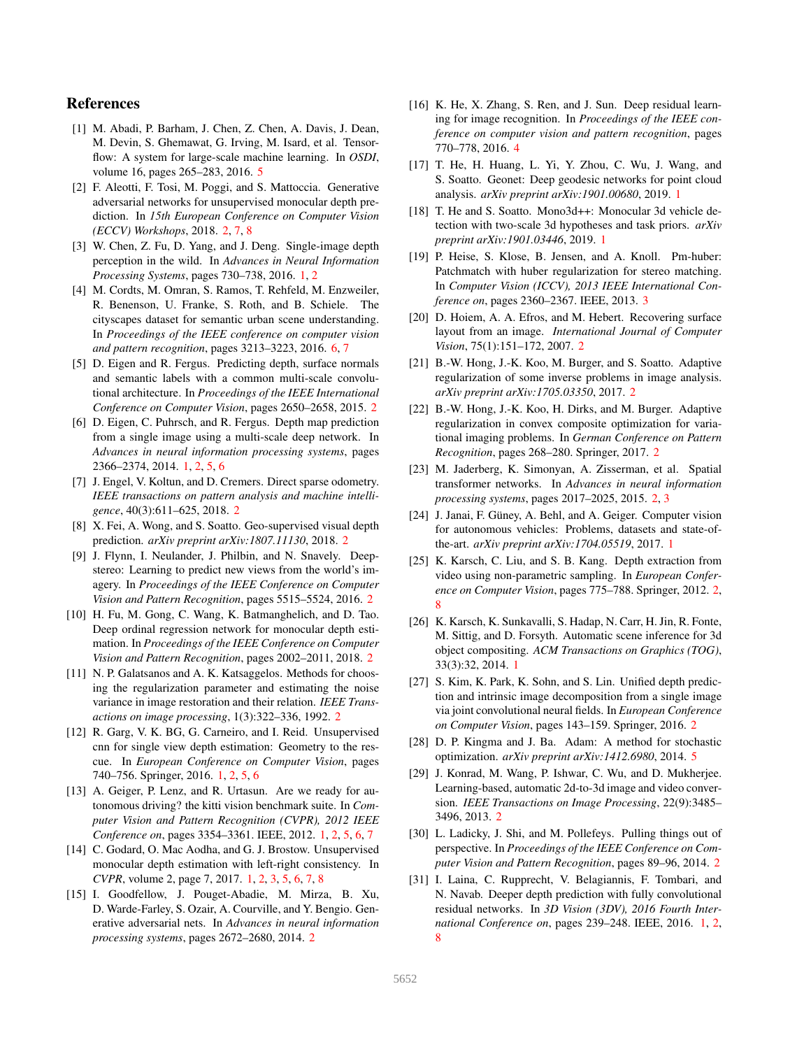## References

- [1] M. Abadi, P. Barham, J. Chen, Z. Chen, A. Davis, J. Dean, M. Devin, S. Ghemawat, G. Irving, M. Isard, et al. Tensorflow: A system for large-scale machine learning. In *OSDI*, volume 16, pages 265–283, 2016. 5
- [2] F. Aleotti, F. Tosi, M. Poggi, and S. Mattoccia. Generative adversarial networks for unsupervised monocular depth prediction. In *15th European Conference on Computer Vision (ECCV) Workshops*, 2018. 2, 7, 8
- [3] W. Chen, Z. Fu, D. Yang, and J. Deng. Single-image depth perception in the wild. In *Advances in Neural Information Processing Systems*, pages 730–738, 2016. 1, 2
- [4] M. Cordts, M. Omran, S. Ramos, T. Rehfeld, M. Enzweiler, R. Benenson, U. Franke, S. Roth, and B. Schiele. The cityscapes dataset for semantic urban scene understanding. In *Proceedings of the IEEE conference on computer vision and pattern recognition*, pages 3213–3223, 2016. 6, 7
- [5] D. Eigen and R. Fergus. Predicting depth, surface normals and semantic labels with a common multi-scale convolutional architecture. In *Proceedings of the IEEE International Conference on Computer Vision*, pages 2650–2658, 2015. 2
- [6] D. Eigen, C. Puhrsch, and R. Fergus. Depth map prediction from a single image using a multi-scale deep network. In *Advances in neural information processing systems*, pages 2366–2374, 2014. 1, 2, 5, 6
- [7] J. Engel, V. Koltun, and D. Cremers. Direct sparse odometry. *IEEE transactions on pattern analysis and machine intelligence*, 40(3):611–625, 2018. 2
- [8] X. Fei, A. Wong, and S. Soatto. Geo-supervised visual depth prediction. *arXiv preprint arXiv:1807.11130*, 2018. 2
- [9] J. Flynn, I. Neulander, J. Philbin, and N. Snavely. Deepstereo: Learning to predict new views from the world's imagery. In *Proceedings of the IEEE Conference on Computer Vision and Pattern Recognition*, pages 5515–5524, 2016. 2
- [10] H. Fu, M. Gong, C. Wang, K. Batmanghelich, and D. Tao. Deep ordinal regression network for monocular depth estimation. In *Proceedings of the IEEE Conference on Computer Vision and Pattern Recognition*, pages 2002–2011, 2018. 2
- [11] N. P. Galatsanos and A. K. Katsaggelos. Methods for choosing the regularization parameter and estimating the noise variance in image restoration and their relation. *IEEE Transactions on image processing*, 1(3):322–336, 1992. 2
- [12] R. Garg, V. K. BG, G. Carneiro, and I. Reid. Unsupervised cnn for single view depth estimation: Geometry to the rescue. In *European Conference on Computer Vision*, pages 740–756. Springer, 2016. 1, 2, 5, 6
- [13] A. Geiger, P. Lenz, and R. Urtasun. Are we ready for autonomous driving? the kitti vision benchmark suite. In *Computer Vision and Pattern Recognition (CVPR), 2012 IEEE Conference on*, pages 3354–3361. IEEE, 2012. 1, 2, 5, 6, 7
- [14] C. Godard, O. Mac Aodha, and G. J. Brostow. Unsupervised monocular depth estimation with left-right consistency. In *CVPR*, volume 2, page 7, 2017. 1, 2, 3, 5, 6, 7, 8
- [15] I. Goodfellow, J. Pouget-Abadie, M. Mirza, B. Xu, D. Warde-Farley, S. Ozair, A. Courville, and Y. Bengio. Generative adversarial nets. In *Advances in neural information processing systems*, pages 2672–2680, 2014. 2
- [16] K. He, X. Zhang, S. Ren, and J. Sun. Deep residual learning for image recognition. In *Proceedings of the IEEE conference on computer vision and pattern recognition*, pages 770–778, 2016. 4
- [17] T. He, H. Huang, L. Yi, Y. Zhou, C. Wu, J. Wang, and S. Soatto. Geonet: Deep geodesic networks for point cloud analysis. *arXiv preprint arXiv:1901.00680*, 2019. 1
- [18] T. He and S. Soatto. Mono3d++: Monocular 3d vehicle detection with two-scale 3d hypotheses and task priors. *arXiv preprint arXiv:1901.03446*, 2019. 1
- [19] P. Heise, S. Klose, B. Jensen, and A. Knoll. Pm-huber: Patchmatch with huber regularization for stereo matching. In *Computer Vision (ICCV), 2013 IEEE International Conference on*, pages 2360–2367. IEEE, 2013. 3
- [20] D. Hoiem, A. A. Efros, and M. Hebert. Recovering surface layout from an image. *International Journal of Computer Vision*, 75(1):151–172, 2007. 2
- [21] B.-W. Hong, J.-K. Koo, M. Burger, and S. Soatto. Adaptive regularization of some inverse problems in image analysis. *arXiv preprint arXiv:1705.03350*, 2017. 2
- [22] B.-W. Hong, J.-K. Koo, H. Dirks, and M. Burger. Adaptive regularization in convex composite optimization for variational imaging problems. In *German Conference on Pattern Recognition*, pages 268–280. Springer, 2017. 2
- [23] M. Jaderberg, K. Simonyan, A. Zisserman, et al. Spatial transformer networks. In *Advances in neural information processing systems*, pages 2017–2025, 2015. 2, 3
- [24] J. Janai, F. Güney, A. Behl, and A. Geiger. Computer vision for autonomous vehicles: Problems, datasets and state-ofthe-art. *arXiv preprint arXiv:1704.05519*, 2017. 1
- [25] K. Karsch, C. Liu, and S. B. Kang. Depth extraction from video using non-parametric sampling. In *European Conference on Computer Vision*, pages 775–788. Springer, 2012. 2, 8
- [26] K. Karsch, K. Sunkavalli, S. Hadap, N. Carr, H. Jin, R. Fonte, M. Sittig, and D. Forsyth. Automatic scene inference for 3d object compositing. *ACM Transactions on Graphics (TOG)*, 33(3):32, 2014. 1
- [27] S. Kim, K. Park, K. Sohn, and S. Lin. Unified depth prediction and intrinsic image decomposition from a single image via joint convolutional neural fields. In *European Conference on Computer Vision*, pages 143–159. Springer, 2016. 2
- [28] D. P. Kingma and J. Ba. Adam: A method for stochastic optimization. *arXiv preprint arXiv:1412.6980*, 2014. 5
- [29] J. Konrad, M. Wang, P. Ishwar, C. Wu, and D. Mukherjee. Learning-based, automatic 2d-to-3d image and video conversion. *IEEE Transactions on Image Processing*, 22(9):3485– 3496, 2013. 2
- [30] L. Ladicky, J. Shi, and M. Pollefeys. Pulling things out of perspective. In *Proceedings of the IEEE Conference on Computer Vision and Pattern Recognition*, pages 89–96, 2014. 2
- [31] I. Laina, C. Rupprecht, V. Belagiannis, F. Tombari, and N. Navab. Deeper depth prediction with fully convolutional residual networks. In *3D Vision (3DV), 2016 Fourth International Conference on*, pages 239–248. IEEE, 2016. 1, 2, 8